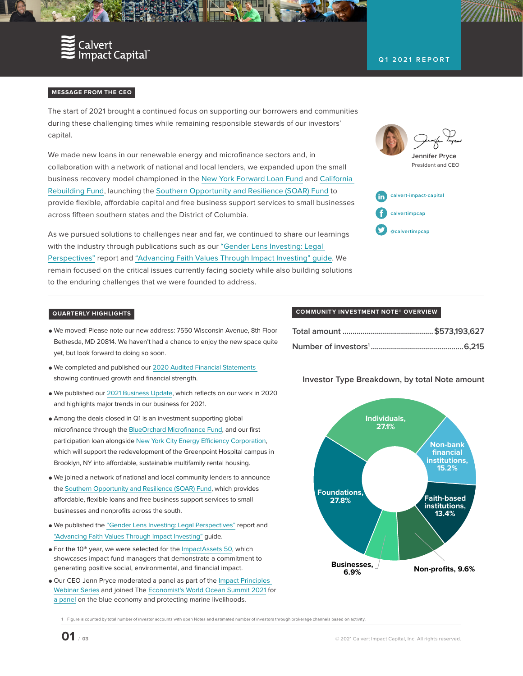

## **Q1 2021 REPORT**

### **MESSAGE FROM THE CEO**

The start of 2021 brought a continued focus on supporting our borrowers and communities during these challenging times while remaining responsible stewards of our investors' capital.

We made new loans in our renewable energy and microfinance sectors and, in collaboration with a network of national and local lenders, we expanded upon the small business recovery model championed in the [New York Forward Loan Fund](https://www.calvertimpactcapital.org/blog/949-new-york-forward-loan-fund-helps-businesses-keep-their-doors-open) and [California](https://www.connect2capital.com/partners/california-rebuilding-fund/)  [Rebuilding Fund,](https://www.connect2capital.com/partners/california-rebuilding-fund/) launching the [Southern Opportunity and Resilience \(SOAR\) Fund](https://www.calvertimpactcapital.org/blog/990-southern-opportunity-and-resilience-soar-fund-announcement) to provide flexible, affordable capital and free business support services to small businesses across fifteen southern states and the District of Columbia.

As we pursued solutions to challenges near and far, we continued to share our learnings with the industry through publications such as our ["Gender Lens Investing: Legal](https://www.calvertimpactcapital.org/blog/991-gender-lens-investing-legal-perspectives-report)  [Perspectives"](https://www.calvertimpactcapital.org/blog/991-gender-lens-investing-legal-perspectives-report) report and ["Advancing Faith Values Through Impact Investing" guide.](https://www.calvertimpactcapital.org/blog/993-advancing-faith-values-through-impact-investing) We remain focused on the critical issues currently facing society while also building solutions to the enduring challenges that we were founded to address.



## **QUARTERLY HIGHLIGHTS**

- **●** We moved! Please note our new address: 7550 Wisconsin Avenue, 8th Floor Bethesda, MD 20814. We haven't had a chance to enjoy the new space quite yet, but look forward to doing so soon.
- **●** We completed and published our [2020 Audited Financial Statements](https://www.calvertimpactcapital.org/storage/documents/2020-afs.pdf)  showing continued growth and financial strength.
- **●** We published our [2021 Business Update,](https://calvertimpactcapital.createsend1.com/t/y-l-olhhdhl-l-j/) which reflects on our work in 2020 and highlights major trends in our business for 2021.
- **●** Among the deals closed in Q1 is an investment supporting global microfinance through the [BlueOrchard Microfinance Fund](https://www.calvertimpactcapital.org/portfolio/list/blue-orchard-microfinance-fund), and our first participation loan alongside [New York City Energy Efficiency Corporation](https://www.calvertimpactcapital.org/portfolio/list/nyceec-greenpoint), which will support the redevelopment of the Greenpoint Hospital campus in Brooklyn, NY into affordable, sustainable multifamily rental housing.
- **●** We joined a network of national and local community lenders to announce the [Southern Opportunity and Resilience \(SOAR\) Fund,](https://calvertimpactcapital.createsend1.com/t/y-l-opjtkt-l-j/) which provides affordable, flexible loans and free business support services to small businesses and nonprofits across the south.
- **●** We published the ["Gender Lens Investing: Legal Perspectives"](https://www.calvertimpactcapital.org/blog/991-gender-lens-investing-legal-perspectives-report) report and ["Advancing Faith Values Through Impact Investing"](https://www.calvertimpactcapital.org/blog/993-advancing-faith-values-through-impact-investing) guide.
- **•** For the 10<sup>th</sup> year, we were selected for the [ImpactAssets 50,](https://calvertimpactcapital.createsend1.com/t/y-l-opjtkt-l-h/) which showcases impact fund managers that demonstrate a commitment to generating positive social, environmental, and financial impact.
- **●** Our CEO Jenn Pryce moderated a panel as part of the [Impact Principles](https://calvertimpactcapital.createsend1.com/t/y-l-opjtkt-l-n/)  [Webinar Series](https://calvertimpactcapital.createsend1.com/t/y-l-opjtkt-l-n/) and joined The [Economist's World Ocean Summit 2021](https://calvertimpactcapital.createsend1.com/t/y-l-opjtkt-l-z/) for [a panel](https://calvertimpactcapital.createsend1.com/t/y-l-opjtkt-l-v/) on the blue economy and protecting marine livelihoods.

#### **COMMUNITY INVESTMENT NOTE® OVERVIEW**

## **Investor Type Breakdown, by total Note amount**



1 Figure is counted by total number of investor accounts with open Notes and estimated number of investors through brokerage channels based on activity.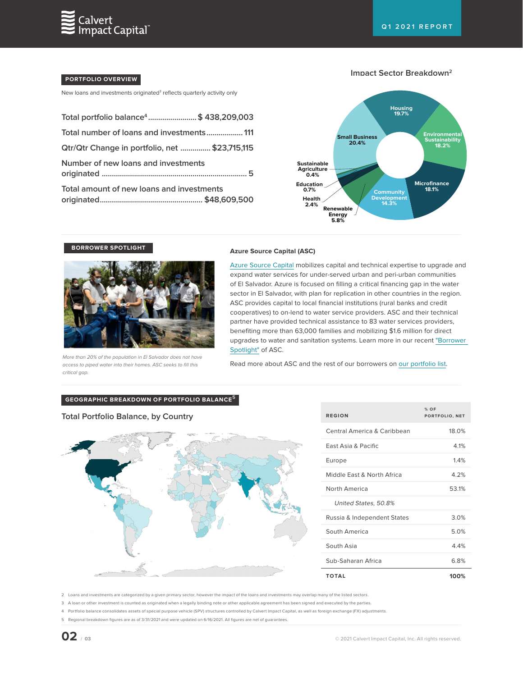

## **PORTFOLIO OVERVIEW**

New loans and investments originated<sup>3</sup> reflects quarterly activity only

| Total portfolio balance <sup>4</sup> \$438,209,003 |  |
|----------------------------------------------------|--|
| Total number of loans and investments111           |  |
| Qtr/Qtr Change in portfolio, net  \$23,715,115     |  |
| Number of new loans and investments                |  |
| Total amount of new loans and investments          |  |

### **Impact Sector Breakdown2**



**BORROWER SPOTLIGHT**



# **Azure Source Capital (ASC)**

[Azure Source Capital](https://www.calvertimpactcapital.org/portfolio/list/azure-source-capital) mobilizes capital and technical expertise to upgrade and expand water services for under-served urban and peri-urban communities of El Salvador. Azure is focused on filling a critical financing gap in the water sector in El Salvador, with plan for replication in other countries in the region. ASC provides capital to local financial institutions (rural banks and credit cooperatives) to on-lend to water service providers. ASC and their technical partner have provided technical assistance to 83 water services providers, benefiting more than 63,000 families and mobilizing \$1.6 million for direct upgrades to water and sanitation systems. Learn more in our recent ["Borrower](https://www.calvertimpactcapital.org/blog/1000-borrower-spotlight-asc?utm_medium=email&utm_campaign=May%202021&utm_content=May%202021+CID_3598f2e832e26e804385451a0df7eca8&utm_source=Campaign_Monitor&utm_term=recent%20borrower%20spotlight)  [Spotlight"](https://www.calvertimpactcapital.org/blog/1000-borrower-spotlight-asc?utm_medium=email&utm_campaign=May%202021&utm_content=May%202021+CID_3598f2e832e26e804385451a0df7eca8&utm_source=Campaign_Monitor&utm_term=recent%20borrower%20spotlight) of ASC.

More than 20% of the population in El Salvador does not have access to piped water into their homes. ASC seeks to fill this critical gap.

Read more about ASC and the rest of our borrowers on [our portfolio list](https://www.calvertimpactcapital.org/portfolio/list).

### **GEOGRAPHIC BREAKDOWN OF PORTFOLIO BALANCE<sup>5</sup>**

## **Total Portfolio Balance, by Country**



| <b>REGION</b>                  | $%$ OF<br>PORTFOLIO, NET |
|--------------------------------|--------------------------|
| Central America & Caribbean    | 18.0%                    |
| <b>Fast Asia &amp; Pacific</b> | 4 1%                     |
| Europe                         | 14%                      |
| Middle Fast & North Africa     | 4 2%                     |
| North America                  | 531%                     |
| United States, 50.8%           |                          |
| Russia & Independent States    | 3.0%                     |
| South America                  | 5.0%                     |
| South Asia                     | 44%                      |
| Sub-Saharan Africa             | 6.8%                     |
| <b>TOTAL</b>                   | 100%                     |

2 Loans and investments are categorized by a given primary sector, however the impact of the loans and investments may overlap many of the listed sectors.

3 A loan or other investment is counted as originated when a legally binding note or other applicable agreement has been signed and executed by the parties.

4 Portfolio balance consolidates assets of special purpose vehicle (SPV) structures controlled by Calvert Impact Capital, as well as foreign exchange (FX) adjustments.

5 Regional breakdown figures are as of 3/31/2021 and were updated on 6/16/2021. All figures are net of guarantees.